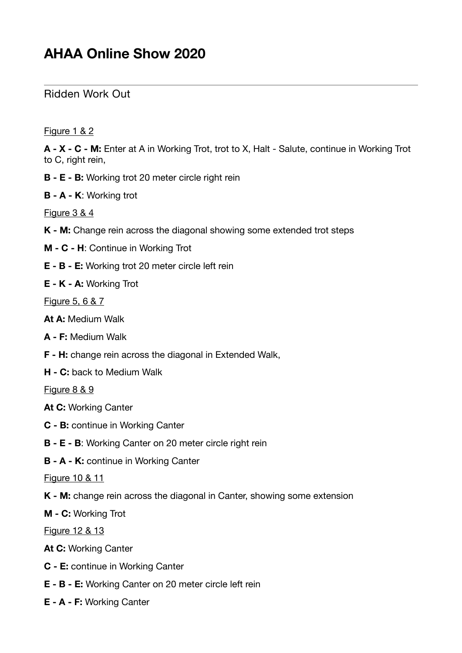## Ridden Work Out

Figure 1 & 2

**A - X - C - M:** Enter at A in Working Trot, trot to X, Halt - Salute, continue in Working Trot to C, right rein,

- **B E B:** Working trot 20 meter circle right rein
- **B A K**: Working trot

Figure 3 & 4

- **K M:** Change rein across the diagonal showing some extended trot steps
- **M C H**: Continue in Working Trot
- **E B E:** Working trot 20 meter circle left rein
- **E K A:** Working Trot

Figure 5, 6 & 7

- **At A:** Medium Walk
- **A F:** Medium Walk
- **F H:** change rein across the diagonal in Extended Walk,
- **H C:** back to Medium Walk

Figure 8 & 9

- **At C:** Working Canter
- **C B:** continue in Working Canter
- **B E B**: Working Canter on 20 meter circle right rein
- **B A K:** continue in Working Canter

Figure 10 & 11

**K - M:** change rein across the diagonal in Canter, showing some extension

**M - C:** Working Trot

Figure 12 & 13

**At C:** Working Canter

- **C E:** continue in Working Canter
- **E B E:** Working Canter on 20 meter circle left rein
- **E A F:** Working Canter